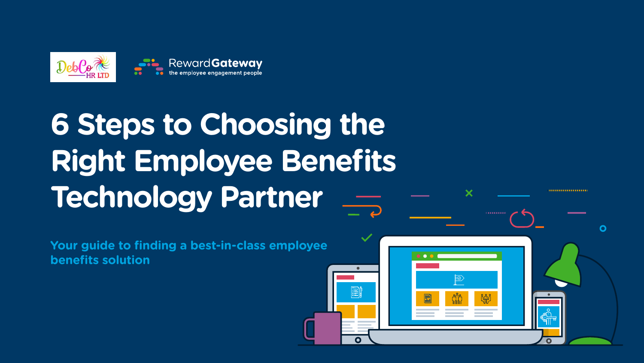

## **6 Steps to Choosing the Right Employee Benefits Technology Partner**

**Your guide to finding a best-in-class employee benefits solution**

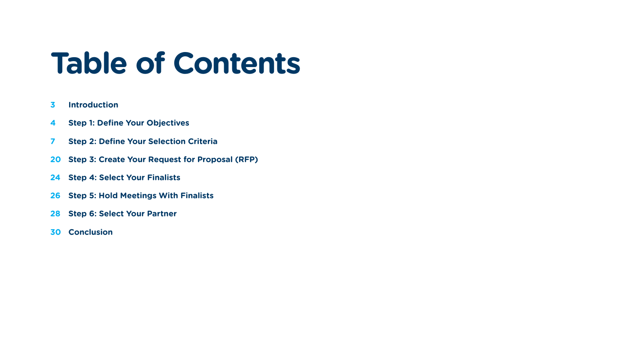## **Table of Contents**

- **Introduction**
- **Step 1: Define Your Objectives**
- **Step 2: Define Your Selection Criteria**
- **Step 3: Create Your Request for Proposal (RFP)**
- **Step 4: Select Your Finalists**
- **Step 5: Hold Meetings With Finalists**
- **Step 6: Select Your Partner**
- **Conclusion**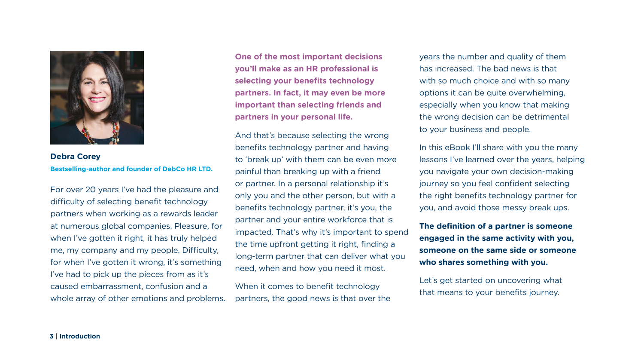For over 20 years I've had the pleasure and difficulty of selecting benefit technology partners when working as a rewards leader at numerous global companies. Pleasure, for when I've gotten it right, it has truly helped me, my company and my people. Difficulty, for when I've gotten it wrong, it's something I've had to pick up the pieces from as it's caused embarrassment, confusion and a whole array of other emotions and problems.



**Debra Corey Bestselling-author and founder of DebCo HR LTD.** In this eBook I'll share with you the many lessons I've learned over the years, helping you navigate your own decision-making journey so you feel confident selecting the right benefits technology partner for you, and avoid those messy break ups.

years the number and quality of them has increased. The bad news is that with so much choice and with so many options it can be quite overwhelming, especially when you know that making the wrong decision can be detrimental to your business and people.

**The definition of a partner is someone engaged in the same activity with you, someone on the same side or someone who shares something with you.**

Let's get started on uncovering what that means to your benefits journey.

**One of the most important decisions you'll make as an HR professional is selecting your benefits technology partners. In fact, it may even be more important than selecting friends and partners in your personal life.**

And that's because selecting the wrong benefits technology partner and having to 'break up' with them can be even more painful than breaking up with a friend or partner. In a personal relationship it's only you and the other person, but with a benefits technology partner, it's you, the partner and your entire workforce that is impacted. That's why it's important to spend the time upfront getting it right, finding a long-term partner that can deliver what you need, when and how you need it most.

When it comes to benefit technology partners, the good news is that over the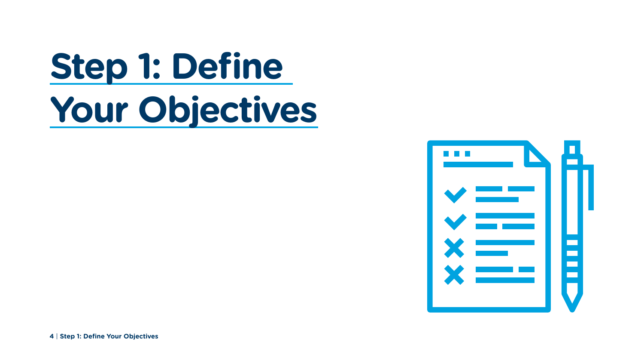# **Step 1: Define Your Objectives**

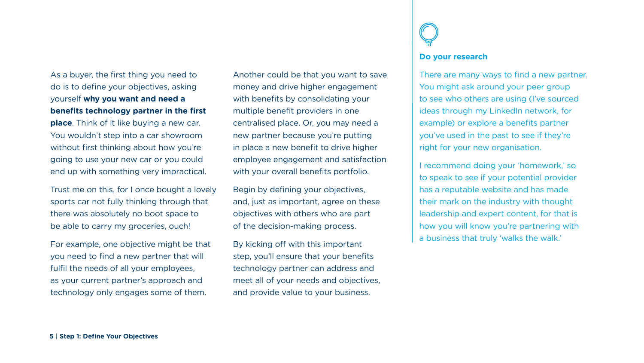As a buyer, the first thing you need to do is to define your objectives, asking yourself **why you want and need a benefits technology partner in the first place**. Think of it like buying a new car. You wouldn't step into a car showroom without first thinking about how you're going to use your new car or you could end up with something very impractical.

Trust me on this, for I once bought a lovely sports car not fully thinking through that there was absolutely no boot space to be able to carry my groceries, ouch!

For example, one objective might be that you need to find a new partner that will fulfil the needs of all your employees, as your current partner's approach and technology only engages some of them.

Another could be that you want to save money and drive higher engagement with benefits by consolidating your multiple benefit providers in one centralised place. Or, you may need a new partner because you're putting in place a new benefit to drive higher employee engagement and satisfaction with your overall benefits portfolio.

Begin by defining your objectives, and, just as important, agree on these objectives with others who are part of the decision-making process.

By kicking off with this important step, you'll ensure that your benefits technology partner can address and meet all of your needs and objectives, and provide value to your business.



## **Do your research**

There are many ways to find a new partner. You might ask around your peer group to see who others are using (I've sourced ideas through my LinkedIn network, for example) or explore a benefits partner you've used in the past to see if they're right for your new organisation.

I recommend doing your 'homework,' so to speak to see if your potential provider has a reputable website and has made their mark on the industry with thought leadership and expert content, for that is how you will know you're partnering with a business that truly 'walks the walk.'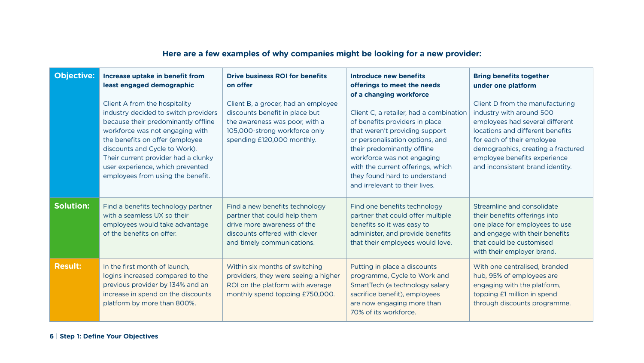| <b>Objective:</b> | Increase uptake in benefit from<br>least engaged demographic<br>Client A from the hospitality<br>industry decided to switch providers<br>because their predominantly offline<br>workforce was not engaging with<br>the benefits on offer (employee<br>discounts and Cycle to Work).<br>Their current provider had a clunky<br>user experience, which prevented<br>employees from using the benefit. | <b>Drive business ROI for benefits</b><br>on offer<br>Client B, a grocer, had an employee<br>discounts benefit in place but<br>the awareness was poor, with a<br>105,000-strong workforce only<br>spending £120,000 monthly. | Introduce new benefits<br>offerings to meet the needs<br>of a changing workforce<br>Client C, a retailer, had a combination<br>of benefits providers in place<br>that weren't providing support<br>or personalisation options, and<br>their predominantly offline<br>workforce was not engaging<br>with the current offerings, which<br>they found hard to understand<br>and irrelevant to their lives. | <b>Bring benefits together</b><br>under one platform<br>Client D from the manufacturing<br>industry with around 500<br>employees had several different<br>locations and different benefits<br>for each of their employee<br>demographics, creating a fractured<br>employee benefits experience<br>and inconsistent brand identity. |
|-------------------|-----------------------------------------------------------------------------------------------------------------------------------------------------------------------------------------------------------------------------------------------------------------------------------------------------------------------------------------------------------------------------------------------------|------------------------------------------------------------------------------------------------------------------------------------------------------------------------------------------------------------------------------|---------------------------------------------------------------------------------------------------------------------------------------------------------------------------------------------------------------------------------------------------------------------------------------------------------------------------------------------------------------------------------------------------------|------------------------------------------------------------------------------------------------------------------------------------------------------------------------------------------------------------------------------------------------------------------------------------------------------------------------------------|
| <b>Solution:</b>  | Find a benefits technology partner<br>with a seamless UX so their<br>employees would take advantage<br>of the benefits on offer.                                                                                                                                                                                                                                                                    | Find a new benefits technology<br>partner that could help them<br>drive more awareness of the<br>discounts offered with clever<br>and timely communications.                                                                 | Find one benefits technology<br>partner that could offer multiple<br>benefits so it was easy to<br>administer, and provide benefits<br>that their employees would love.                                                                                                                                                                                                                                 | Streamline and consolidate<br>their benefits offerings into<br>one place for employees to use<br>and engage with their benefits<br>that could be customised<br>with their employer brand.                                                                                                                                          |
| <b>Result:</b>    | In the first month of launch,<br>logins increased compared to the<br>previous provider by 134% and an<br>increase in spend on the discounts<br>platform by more than 800%.                                                                                                                                                                                                                          | Within six months of switching<br>providers, they were seeing a higher<br>ROI on the platform with average<br>monthly spend topping £750,000.                                                                                | Putting in place a discounts<br>programme, Cycle to Work and<br>SmartTech (a technology salary<br>sacrifice benefit), employees<br>are now engaging more than<br>70% of its workforce.                                                                                                                                                                                                                  | With one centralised, branded<br>hub, 95% of employees are<br>engaging with the platform,<br>topping £1 million in spend<br>through discounts programme.                                                                                                                                                                           |

## **Here are a few examples of why companies might be looking for a new provider:**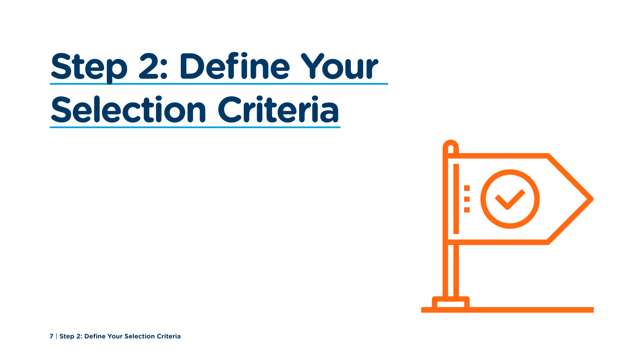**7** | **Step 2: Define Your Selection Criteria**



# **Step 2: Define Your Selection Criteria**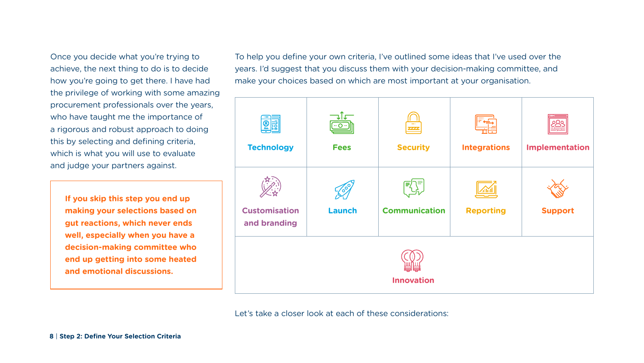Once you decide what you're trying to achieve, the next thing to do is to decide how you're going to get there. I have had the privilege of working with some amazing procurement professionals over the years, who have taught me the importance of a rigorous and robust approach to doing this by selecting and defining criteria, which is what you will use to evaluate and judge your partners against.



Let's take a closer look at each of these considerations:

**If you skip this step you end up making your selections based on gut reactions, which never ends well, especially when you have a decision-making committee who end up getting into some heated and emotional discussions.**

To help you define your own criteria, I've outlined some ideas that I've used over the years. I'd suggest that you discuss them with your decision-making committee, and make your choices based on which are most important at your organisation.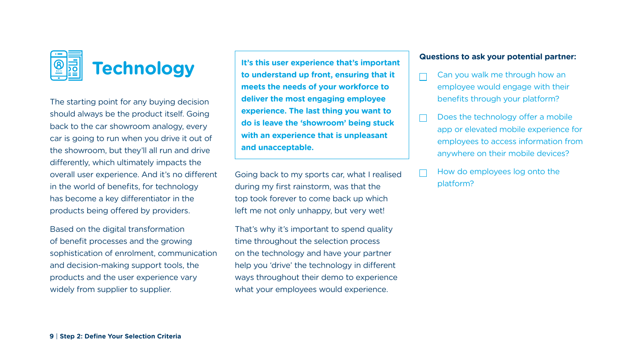The starting point for any buying decision should always be the product itself. Going back to the car showroom analogy, every car is going to run when you drive it out of the showroom, but they'll all run and drive differently, which ultimately impacts the overall user experience. And it's no different in the world of benefits, for technology has become a key differentiator in the products being offered by providers.

Based on the digital transformation of benefit processes and the growing sophistication of enrolment, communication and decision-making support tools, the products and the user experience vary widely from supplier to supplier.



Going back to my sports car, what I realised during my first rainstorm, was that the top took forever to come back up which left me not only unhappy, but very wet!

That's why it's important to spend quality time throughout the selection process on the technology and have your partner help you 'drive' the technology in different ways throughout their demo to experience what your employees would experience.

**It's this user experience that's important to understand up front, ensuring that it meets the needs of your workforce to deliver the most engaging employee experience. The last thing you want to do is leave the 'showroom' being stuck with an experience that is unpleasant and unacceptable.** 

## **Questions to ask your potential partner:**

 $\Box$ 

I.

- 
- 

Can you walk me through how an employee would engage with their benefits through your platform?

Does the technology offer a mobile app or elevated mobile experience for employees to access information from anywhere on their mobile devices?

How do employees log onto the platform?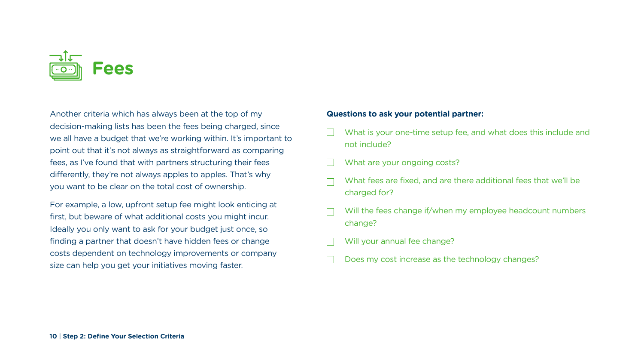Another criteria which has always been at the top of my decision-making lists has been the fees being charged, since we all have a budget that we're working within. It's important to point out that it's not always as straightforward as comparing fees, as I've found that with partners structuring their fees differently, they're not always apples to apples. That's why you want to be clear on the total cost of ownership.

For example, a low, upfront setup fee might look enticing at first, but beware of what additional costs you might incur. Ideally you only want to ask for your budget just once, so finding a partner that doesn't have hidden fees or change costs dependent on technology improvements or company size can help you get your initiatives moving faster.



### **Questions to ask your potential partner:**

- What is your one-time setup fee, and what does this include and not include?
- What are your ongoing costs?
- What fees are fixed, and are there additional fees that we'll be charged for?
- Will the fees change if/when my employee headcount numbers change?
- Will your annual fee change?
- Does my cost increase as the technology changes?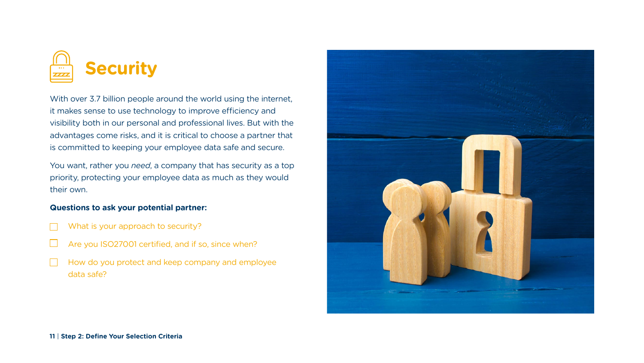With over 3.7 billion people around the world using the internet, it makes sense to use technology to improve efficiency and visibility both in our personal and professional lives. But with the advantages come risks, and it is critical to choose a partner that is committed to keeping your employee data safe and secure.

You want, rather you *need*, a company that has security as a top priority, protecting your employee data as much as they would their own.

## **Questions to ask your potential partner:**

- What is your approach to security?
- Are you ISO27001 certified, and if so, since when?
- How do you protect and keep company and employee data safe?



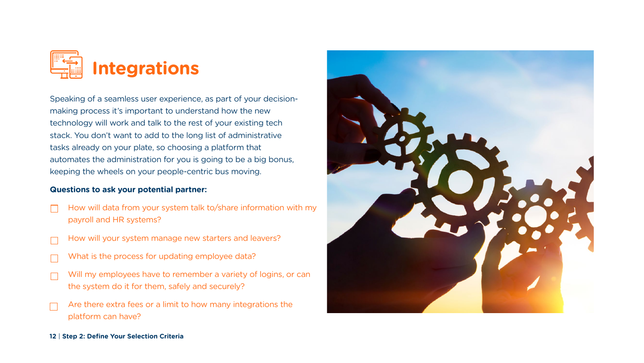Speaking of a seamless user experience, as part of your decisionmaking process it's important to understand how the new technology will work and talk to the rest of your existing tech stack. You don't want to add to the long list of administrative tasks already on your plate, so choosing a platform that automates the administration for you is going to be a big bonus, keeping the wheels on your people-centric bus moving.

### **Questions to ask your potential partner:**

- How will data from your system talk to/share information with my payroll and HR systems?
- How will your system manage new starters and leavers?
- What is the process for updating employee data?
- Will my employees have to remember a variety of logins, or can the system do it for them, safely and securely?
- Are there extra fees or a limit to how many integrations the platform can have?





### **12** | **Step 2: Define Your Selection Criteria**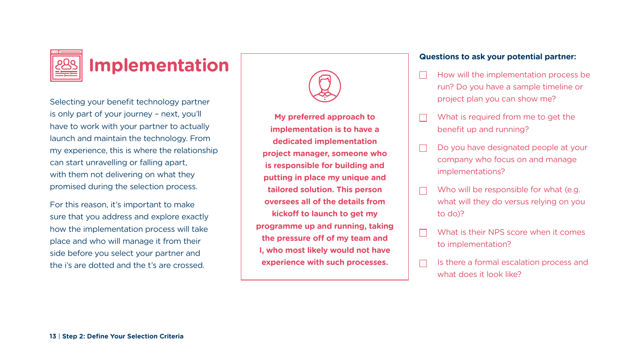Selecting your benefit technology partner is only part of your journey – next, you'll have to work with your partner to actually launch and maintain the technology. From my experience, this is where the relationship can start unravelling or falling apart, with them not delivering on what they promised during the selection process.

For this reason, it's important to make sure that you address and explore exactly how the implementation process will take place and who will manage it from their side before you select your partner and the i's are dotted and the t's are crossed.





## **Implementation**

Who will be responsible for what (e.g. what will they do versus relying on you

**My preferred approach to implementation is to have a dedicated implementation project manager, someone who is responsible for building and putting in place my unique and tailored solution. This person oversees all of the details from kickoff to launch to get my programme up and running, taking the pressure off of my team and I, who most likely would not have experience with such processes.**

## **Questions to ask your potential partner:**

- 
- 

 $\Box$ 

 $\Box$ 

 $\Box$ 

How will the implementation process be run? Do you have a sample timeline or project plan you can show me?

What is required from me to get the benefit up and running?

Do you have designated people at your company who focus on and manage implementations?

- 
- to do)?
- 
- 

What is their NPS score when it comes to implementation?

Is there a formal escalation process and what does it look like?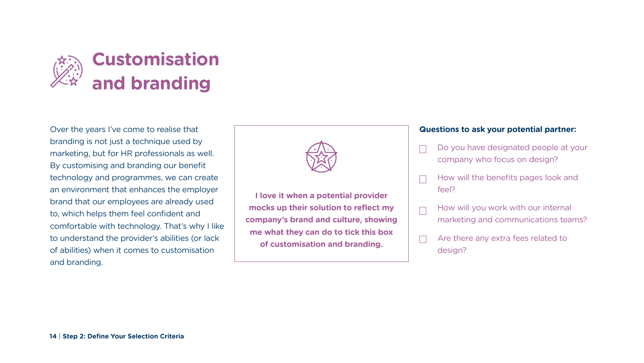

Over the years I've come to realise that branding is not just a technique used by marketing, but for HR professionals as well. By customising and branding our benefit technology and programmes, we can create an environment that enhances the employer brand that our employees are already used to, which helps them feel confident and comfortable with technology. That's why I like to understand the provider's abilities (or lack of abilities) when it comes to customisation and branding.

## **Questions to ask your potential partner:**

- Do you have designated people at your company who focus on design?
- How will the benefits pages look and
- How will you work with our internal marketing and communications teams?
- Are there any extra fees related to

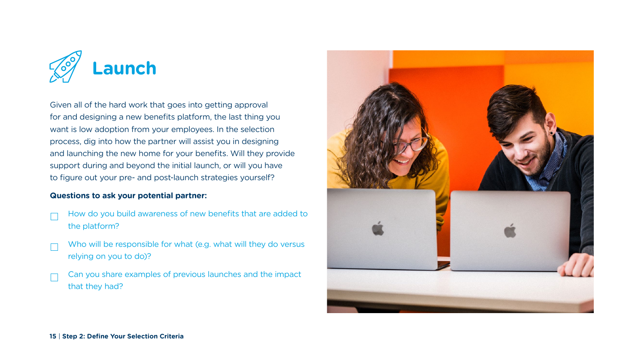Given all of the hard work that goes into getting approval for and designing a new benefits platform, the last thing you want is low adoption from your employees. In the selection process, dig into how the partner will assist you in designing and launching the new home for your benefits. Will they provide support during and beyond the initial launch, or will you have to figure out your pre- and post-launch strategies yourself?

### **Questions to ask your potential partner:**

- How do you build awareness of new benefits that are added to the platform?
- Who will be responsible for what (e.g. what will they do versus relying on you to do)?
- Can you share examples of previous launches and the impact that they had?



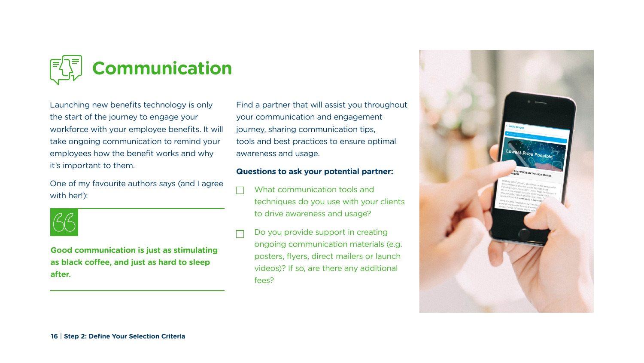Launching new benefits technology is only the start of the journey to engage your workforce with your employee benefits. It will take ongoing communication to remind your employees how the benefit works and why it's important to them.

One of my favourite authors says (and I agree with her!):



Find a partner that will assist you throughout your communication and engagement journey, sharing communication tips, tools and best practices to ensure optimal awareness and usage.

### **Questions to ask your potential partner:**

- What communication tools and techniques do you use with your clients to drive awareness and usage?
- Do you provide support in creating ongoing communication materials (e.g. posters, flyers, direct mailers or launch videos)? If so, are there any additional fees?





### PRICE ON THE HIGH STREET.

**Good communication is just as stimulating as black coffee, and just as hard to sleep after.**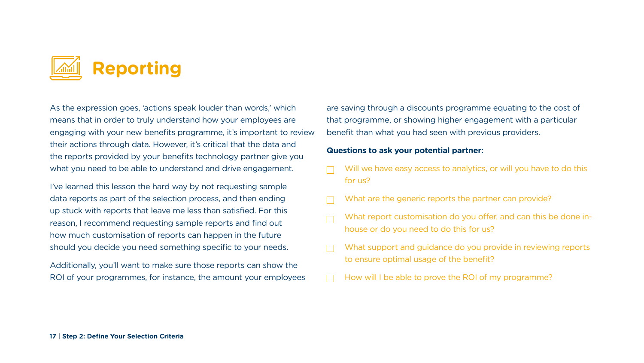As the expression goes, 'actions speak louder than words,' which means that in order to truly understand how your employees are engaging with your new benefits programme, it's important to review their actions through data. However, it's critical that the data and the reports provided by your benefits technology partner give you what you need to be able to understand and drive engagement.

I've learned this lesson the hard way by not requesting sample data reports as part of the selection process, and then ending up stuck with reports that leave me less than satisfied. For this reason, I recommend requesting sample reports and find out how much customisation of reports can happen in the future should you decide you need something specific to your needs.

Additionally, you'll want to make sure those reports can show the ROI of your programmes, for instance, the amount your employees



are saving through a discounts programme equating to the cost of that programme, or showing higher engagement with a particular benefit than what you had seen with previous providers.

### **Questions to ask your potential partner:**

Will we have easy access to analytics, or will you have to do this

What report customisation do you offer, and can this be done in-

- for us?
- What are the generic reports the partner can provide?
- house or do you need to do this for us?
- to ensure optimal usage of the benefit?
- How will I be able to prove the ROI of my programme?

What support and guidance do you provide in reviewing reports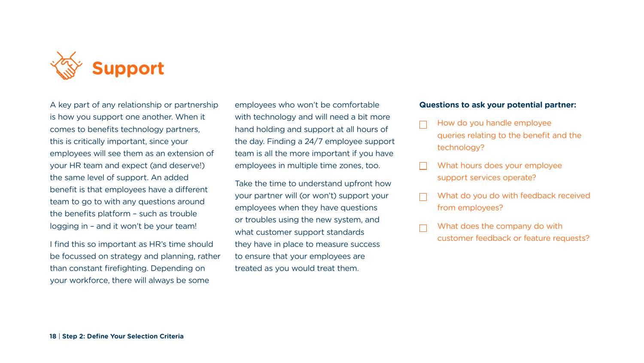A key part of any relationship or partnership is how you support one another. When it comes to benefits technology partners, this is critically important, since your employees will see them as an extension of your HR team and expect (and deserve!) the same level of support. An added benefit is that employees have a different team to go to with any questions around the benefits platform – such as trouble logging in – and it won't be your team!

I find this so important as HR's time should be focussed on strategy and planning, rather than constant firefighting. Depending on your workforce, there will always be some



employees who won't be comfortable with technology and will need a bit more hand holding and support at all hours of the day. Finding a 24/7 employee support team is all the more important if you have employees in multiple time zones, too.

Take the time to understand upfront how your partner will (or won't) support your employees when they have questions or troubles using the new system, and what customer support standards they have in place to measure success to ensure that your employees are treated as you would treat them.

## **Questions to ask your potential partner:**

- How do you handle employee queries relating to the benefit and the technology?
- What hours does your employee support services operate?
- What do you do with feedback received from employees?
- What does the company do with customer feedback or feature requests?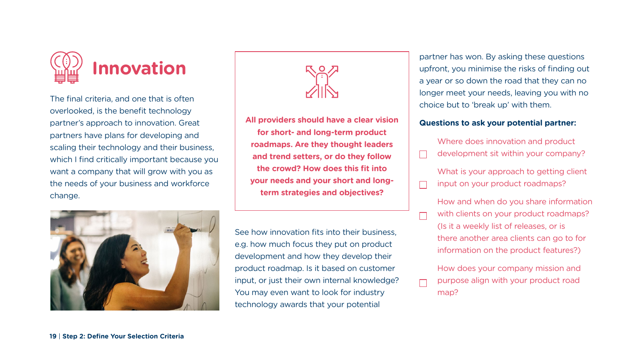The final criteria, and one that is often overlooked, is the benefit technology partner's approach to innovation. Great partners have plans for developing and scaling their technology and their business, which I find critically important because you want a company that will grow with you as the needs of your business and workforce change.







See how innovation fits into their business, e.g. how much focus they put on product development and how they develop their product roadmap. Is it based on customer input, or just their own internal knowledge? You may even want to look for industry technology awards that your potential

What is your approach to getting client input on your product roadmaps?

partner has won. By asking these questions upfront, you minimise the risks of finding out a year or so down the road that they can no longer meet your needs, leaving you with no choice but to 'break up' with them.

## **Questions to ask your potential partner:**

 $\Box$ 

 $\Box$ 

 $\Box$ 

Where does innovation and product development sit within your company?

How and when do you share information with clients on your product roadmaps? (Is it a weekly list of releases, or is there another area clients can go to for information on the product features?)

How does your company mission and purpose align with your product road map?

**All providers should have a clear vision for short- and long-term product roadmaps. Are they thought leaders and trend setters, or do they follow the crowd? How does this fit into your needs and your short and longterm strategies and objectives?**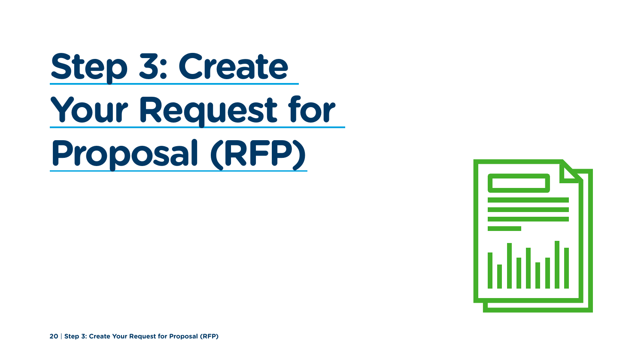**20** | **Step 3: Create Your Request for Proposal (RFP)**



# **Step 3: Create Your Request for Proposal (RFP)**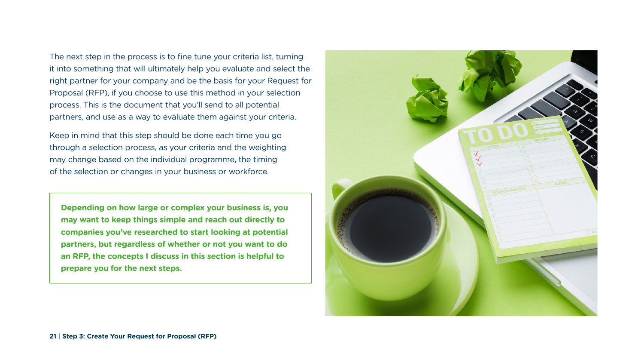The next step in the process is to fine tune your criteria list, turning it into something that will ultimately help you evaluate and select the right partner for your company and be the basis for your Request for Proposal (RFP), if you choose to use this method in your selection process. This is the document that you'll send to all potential partners, and use as a way to evaluate them against your criteria.

Keep in mind that this step should be done each time you go through a selection process, as your criteria and the weighting may change based on the individual programme, the timing of the selection or changes in your business or workforce.

**Depending on how large or complex your business is, you may want to keep things simple and reach out directly to companies you've researched to start looking at potential partners, but regardless of whether or not you want to do an RFP, the concepts I discuss in this section is helpful to prepare you for the next steps.** 

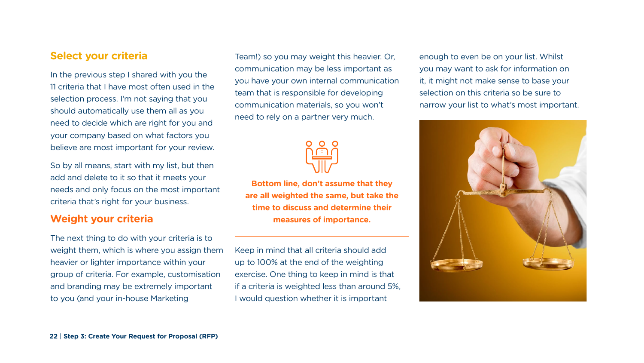Keep in mind that all criteria should add up to 100% at the end of the weighting exercise. One thing to keep in mind is that if a criteria is weighted less than around 5%, I would question whether it is important

## **Select your criteria**

In the previous step I shared with you the 11 criteria that I have most often used in the selection process. I'm not saying that you should automatically use them all as you need to decide which are right for you and your company based on what factors you believe are most important for your review.

So by all means, start with my list, but then add and delete to it so that it meets your needs and only focus on the most important criteria that's right for your business.

## **Weight your criteria**

The next thing to do with your criteria is to weight them, which is where you assign them heavier or lighter importance within your group of criteria. For example, customisation and branding may be extremely important to you (and your in-house Marketing

Team!) so you may weight this heavier. Or, communication may be less important as you have your own internal communication team that is responsible for developing communication materials, so you won't need to rely on a partner very much.





**Bottom line, don't assume that they are all weighted the same, but take the time to discuss and determine their measures of importance.** 

enough to even be on your list. Whilst you may want to ask for information on it, it might not make sense to base your selection on this criteria so be sure to narrow your list to what's most important.



**22** | **Step 3: Create Your Request for Proposal (RFP)**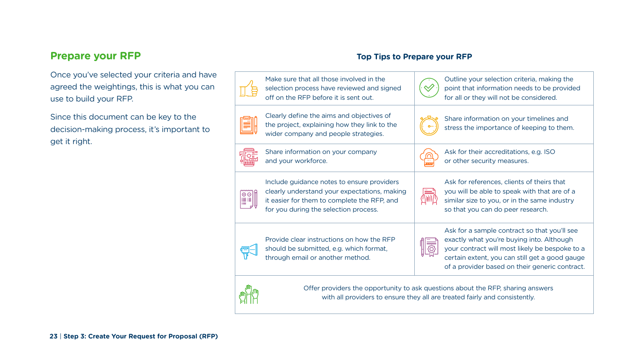line your selection criteria, making the nt that information needs to be provided all or they will not be considered.

re information on your timelines and ss the importance of keeping to them.

for their accreditations, e.g. ISO ther security measures.

for references, clients of theirs that will be able to speak with that are of a lar size to you, or in the same industry hat you can do peer research.

for a sample contract so that you'll see tly what you're buying into. Although contract will most likely be bespoke to a cain extent, you can still get a good gauge provider based on their generic contract.

| Make sure that all those involved in the<br>selection process have reviewed and signed<br>off on the RFP before it is sent out.                                                    | Outl<br>poin<br>for a                                  |
|------------------------------------------------------------------------------------------------------------------------------------------------------------------------------------|--------------------------------------------------------|
| Clearly define the aims and objectives of<br>the project, explaining how they link to the<br>wider company and people strategies.                                                  | Shar<br>stres                                          |
| Share information on your company<br>and your workforce.                                                                                                                           | Ask <sup>-</sup><br>or of                              |
| Include guidance notes to ensure providers<br>clearly understand your expectations, making<br>it easier for them to complete the RFP, and<br>for you during the selection process. | Ask <sup>-</sup><br>you <sup>-</sup><br>simil<br>so th |
| Provide clear instructions on how the RFP<br>should be submitted, e.g. which format,<br>through email or another method.                                                           | Ask <sup>-</sup><br>exac<br>your<br>certa<br>of a      |
|                                                                                                                                                                                    |                                                        |



Offer providers the opportunity to ask questions about the RFP, sharing answers with all providers to ensure they all are treated fairly and consistently.

## **Prepare your RFP**

Once you've selected your criteria and have agreed the weightings, this is what you can use to build your RFP.

Since this document can be key to the decision-making process, it's important to get it right.

## **Top Tips to Prepare your RFP**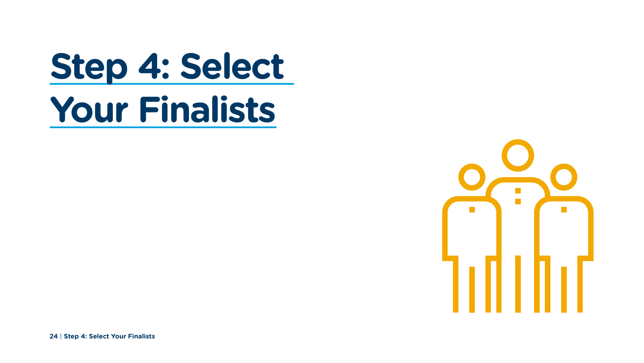**24** | **Step 4: Select Your Finalists**



# **Step 4: Select Your Finalists**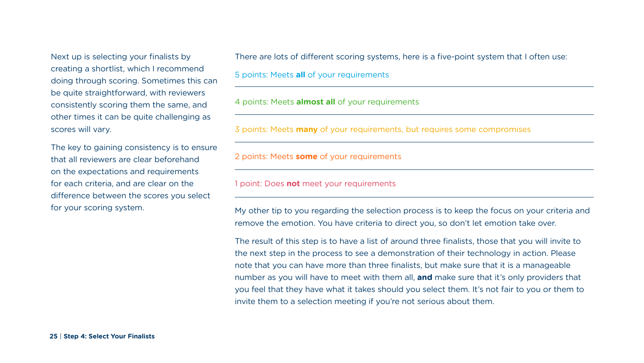Next up is selecting your finalists by creating a shortlist, which I recommend doing through scoring. Sometimes this can be quite straightforward, with reviewers consistently scoring them the same, and other times it can be quite challenging as scores will vary.

The key to gaining consistency is to ensure that all reviewers are clear beforehand on the expectations and requirements for each criteria, and are clear on the difference between the scores you select for your scoring system.

My other tip to you regarding the selection process is to keep the focus on your criteria and remove the emotion. You have criteria to direct you, so don't let emotion take over.

There are lots of different scoring systems, here is a five-point system that I often use: 5 points: Meets **all** of your requirements

4 points: Meets **almost all** of your requirements

3 points: Meets **many** of your requirements, but requires some compromises

2 points: Meets **some** of your requirements

1 point: Does **not** meet your requirements

The result of this step is to have a list of around three finalists, those that you will invite to the next step in the process to see a demonstration of their technology in action. Please note that you can have more than three finalists, but make sure that it is a manageable number as you will have to meet with them all, **and** make sure that it's only providers that you feel that they have what it takes should you select them. It's not fair to you or them to invite them to a selection meeting if you're not serious about them.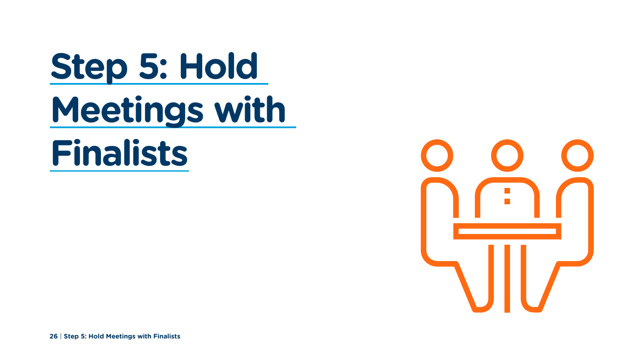

# **Step 5: Hold Meetings with Finalists**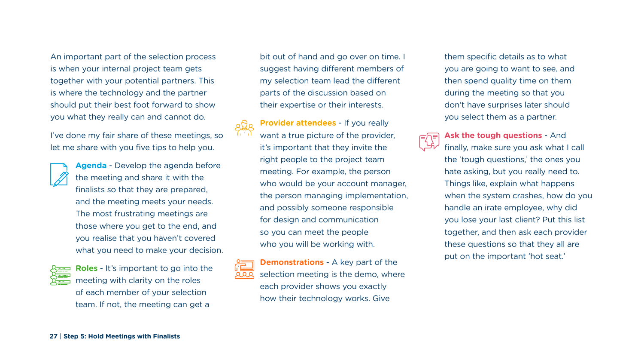An important part of the selection process is when your internal project team gets together with your potential partners. This is where the technology and the partner should put their best foot forward to show you what they really can and cannot do.

I've done my fair share of these meetings, so let me share with you five tips to help you.

- **Agenda** Develop the agenda before the meeting and share it with the finalists so that they are prepared, and the meeting meets your needs. The most frustrating meetings are those where you get to the end, and you realise that you haven't covered what you need to make your decision.
- 

**Roles** - It's important to go into the meeting with clarity on the roles of each member of your selection team. If not, the meeting can get a

**27** | **Step 5: Hold Meetings with Finalists**

bit out of hand and go over on time. I suggest having different members of my selection team lead the different parts of the discussion based on their expertise or their interests.

**Provider attendees** - If you really



want a true picture of the provider, it's important that they invite the right people to the project team meeting. For example, the person who would be your account manager, the person managing implementation, and possibly someone responsible for design and communication so you can meet the people who you will be working with.



**Demonstrations** - A key part of the selection meeting is the demo, where each provider shows you exactly how their technology works. Give

them specific details as to what you are going to want to see, and then spend quality time on them during the meeting so that you don't have surprises later should you select them as a partner.

 $E[\overline{z}]$ 

**Ask the tough questions** - And finally, make sure you ask what I call the 'tough questions,' the ones you hate asking, but you really need to. Things like, explain what happens when the system crashes, how do you handle an irate employee, why did you lose your last client? Put this list together, and then ask each provider these questions so that they all are put on the important 'hot seat.'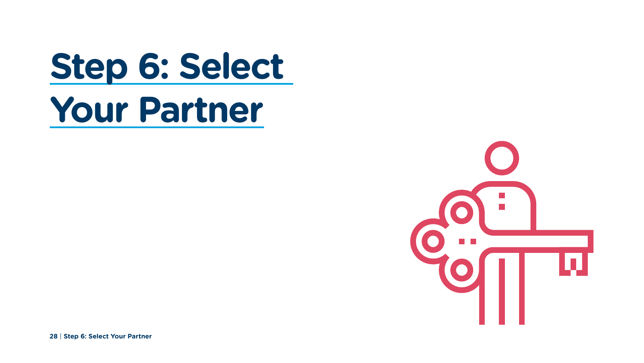**28** | **Step 6: Select Your Partner**

# **Step 6: Select Your Partner**

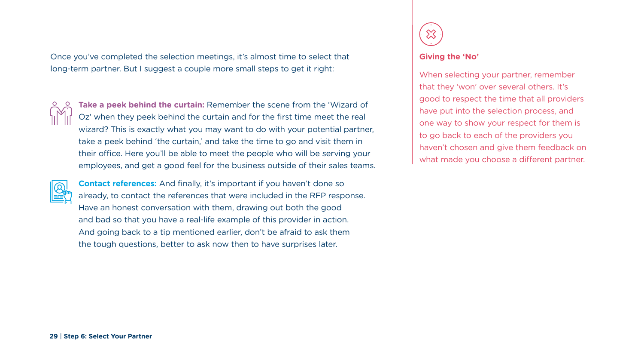Once you've completed the selection meetings, it's almost time to select that long-term partner. But I suggest a couple more small steps to get it right:



**Take a peek behind the curtain:** Remember the scene from the 'Wizard of Oz' when they peek behind the curtain and for the first time meet the real wizard? This is exactly what you may want to do with your potential partner, take a peek behind 'the curtain,' and take the time to go and visit them in their office. Here you'll be able to meet the people who will be serving your employees, and get a good feel for the business outside of their sales teams.



**Contact references:** And finally, it's important if you haven't done so already, to contact the references that were included in the RFP response. Have an honest conversation with them, drawing out both the good and bad so that you have a real-life example of this provider in action. And going back to a tip mentioned earlier, don't be afraid to ask them the tough questions, better to ask now then to have surprises later.



## **Giving the 'No'**

When selecting your partner, remember that they 'won' over several others. It's good to respect the time that all providers have put into the selection process, and one way to show your respect for them is to go back to each of the providers you haven't chosen and give them feedback on what made you choose a different partner.